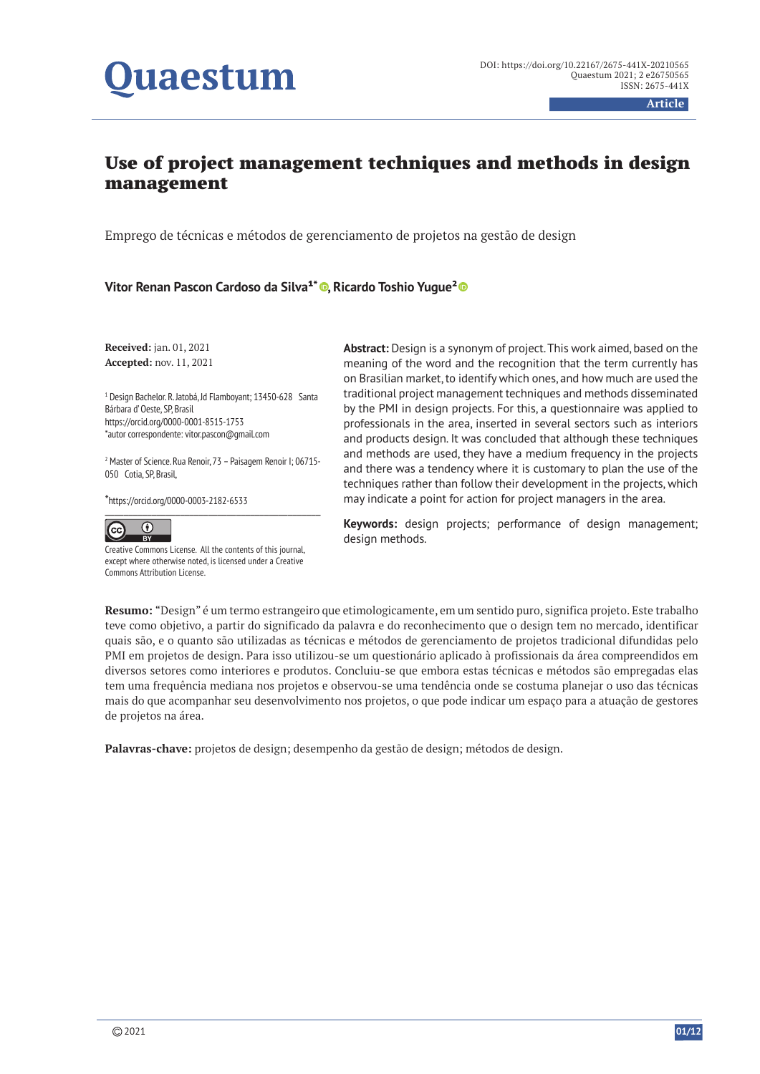# uaestum

**Article**

## Use of project management techniques and methods in design management

Emprego de técnicas e métodos de gerenciamento de projetos na gestão de design

**Vitor Renan Pascon Cardoso da Silva<sup>1\*</sup> · Ricardo Toshio Yugue<sup>2</sup> ·** 

**Received:** jan. 01, 2021 **Accepted:** nov. 11, 2021

1 Design Bachelor. R. Jatobá, Jd Flamboyant; 13450-628 Santa Bárbara d' Oeste, SP, Brasil https://orcid.org/0000-0001-8515-1753 \*autor correspondente: vitor.pascon@gmail.com

<sup>2</sup> Master of Science. Rua Renoir, 73 - Paisagem Renoir I; 06715-050 Cotia, SP, Brasil,

\*https://orcid.org/0000-0003-2182-6533



Creative Commons License. All the contents of this journal, except where otherwise noted, is licensed under a Creative Commons Attribution License.

**Abstract:** Design is a synonym of project. This work aimed, based on the meaning of the word and the recognition that the term currently has on Brasilian market, to identify which ones, and how much are used the traditional project management techniques and methods disseminated by the PMI in design projects. For this, a questionnaire was applied to professionals in the area, inserted in several sectors such as interiors and products design. It was concluded that although these techniques and methods are used, they have a medium frequency in the projects and there was a tendency where it is customary to plan the use of the techniques rather than follow their development in the projects, which may indicate a point for action for project managers in the area.

**Keywords:** design projects; performance of design management; design methods.

**Resumo:** "Design" é um termo estrangeiro que etimologicamente, em um sentido puro, significa projeto. Este trabalho teve como objetivo, a partir do significado da palavra e do reconhecimento que o design tem no mercado, identificar quais são, e o quanto são utilizadas as técnicas e métodos de gerenciamento de projetos tradicional difundidas pelo PMI em projetos de design. Para isso utilizou-se um questionário aplicado à profissionais da área compreendidos em diversos setores como interiores e produtos. Concluiu-se que embora estas técnicas e métodos são empregadas elas tem uma frequência mediana nos projetos e observou-se uma tendência onde se costuma planejar o uso das técnicas mais do que acompanhar seu desenvolvimento nos projetos, o que pode indicar um espaço para a atuação de gestores de projetos na área.

**Palavras-chave:** projetos de design; desempenho da gestão de design; métodos de design.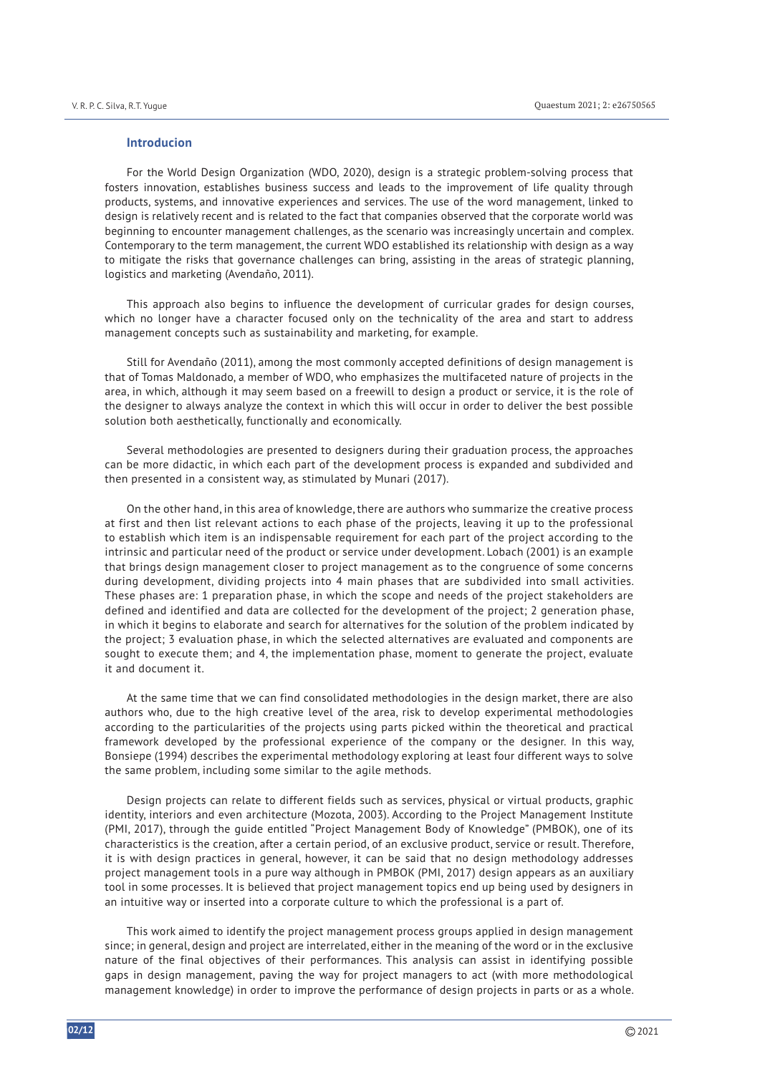#### **Introducion**

For the World Design Organization (WDO, 2020), design is a strategic problem-solving process that fosters innovation, establishes business success and leads to the improvement of life quality through products, systems, and innovative experiences and services. The use of the word management, linked to design is relatively recent and is related to the fact that companies observed that the corporate world was beginning to encounter management challenges, as the scenario was increasingly uncertain and complex. Contemporary to the term management, the current WDO established its relationship with design as a way to mitigate the risks that governance challenges can bring, assisting in the areas of strategic planning, logistics and marketing (Avendaño, 2011).

This approach also begins to influence the development of curricular grades for design courses, which no longer have a character focused only on the technicality of the area and start to address management concepts such as sustainability and marketing, for example.

Still for Avendaño (2011), among the most commonly accepted definitions of design management is that of Tomas Maldonado, a member of WDO, who emphasizes the multifaceted nature of projects in the area, in which, although it may seem based on a freewill to design a product or service, it is the role of the designer to always analyze the context in which this will occur in order to deliver the best possible solution both aesthetically, functionally and economically.

Several methodologies are presented to designers during their graduation process, the approaches can be more didactic, in which each part of the development process is expanded and subdivided and then presented in a consistent way, as stimulated by Munari (2017).

On the other hand, in this area of knowledge, there are authors who summarize the creative process at first and then list relevant actions to each phase of the projects, leaving it up to the professional to establish which item is an indispensable requirement for each part of the project according to the intrinsic and particular need of the product or service under development. Lobach (2001) is an example that brings design management closer to project management as to the congruence of some concerns during development, dividing projects into 4 main phases that are subdivided into small activities. These phases are: 1 preparation phase, in which the scope and needs of the project stakeholders are defined and identified and data are collected for the development of the project; 2 generation phase, in which it begins to elaborate and search for alternatives for the solution of the problem indicated by the project; 3 evaluation phase, in which the selected alternatives are evaluated and components are sought to execute them; and 4, the implementation phase, moment to generate the project, evaluate it and document it.

At the same time that we can find consolidated methodologies in the design market, there are also authors who, due to the high creative level of the area, risk to develop experimental methodologies according to the particularities of the projects using parts picked within the theoretical and practical framework developed by the professional experience of the company or the designer. In this way, Bonsiepe (1994) describes the experimental methodology exploring at least four different ways to solve the same problem, including some similar to the agile methods.

Design projects can relate to different fields such as services, physical or virtual products, graphic identity, interiors and even architecture (Mozota, 2003). According to the Project Management Institute (PMI, 2017), through the guide entitled "Project Management Body of Knowledge" (PMBOK), one of its characteristics is the creation, after a certain period, of an exclusive product, service or result. Therefore, it is with design practices in general, however, it can be said that no design methodology addresses project management tools in a pure way although in PMBOK (PMI, 2017) design appears as an auxiliary tool in some processes. It is believed that project management topics end up being used by designers in an intuitive way or inserted into a corporate culture to which the professional is a part of.

This work aimed to identify the project management process groups applied in design management since; in general, design and project are interrelated, either in the meaning of the word or in the exclusive nature of the final objectives of their performances. This analysis can assist in identifying possible gaps in design management, paving the way for project managers to act (with more methodological management knowledge) in order to improve the performance of design projects in parts or as a whole.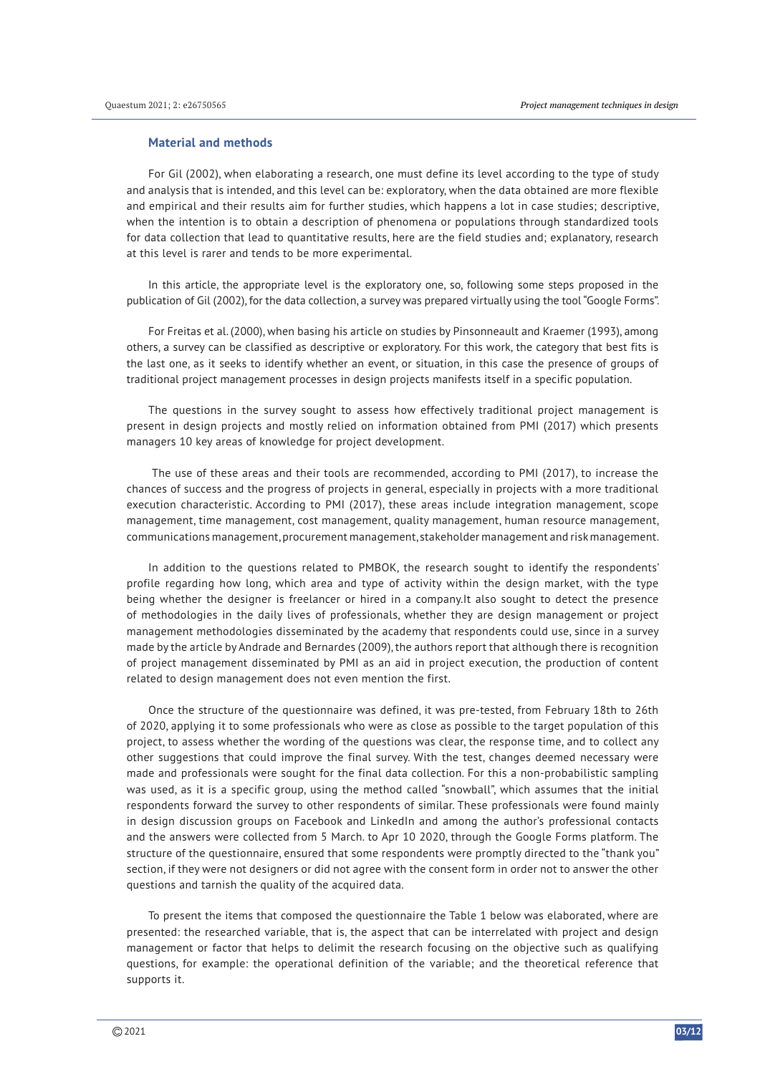#### **Material and methods**

For Gil (2002), when elaborating a research, one must define its level according to the type of study and analysis that is intended, and this level can be: exploratory, when the data obtained are more flexible and empirical and their results aim for further studies, which happens a lot in case studies; descriptive, when the intention is to obtain a description of phenomena or populations through standardized tools for data collection that lead to quantitative results, here are the field studies and; explanatory, research at this level is rarer and tends to be more experimental.

In this article, the appropriate level is the exploratory one, so, following some steps proposed in the publication of Gil (2002), for the data collection, a survey was prepared virtually using the tool "Google Forms".

For Freitas et al. (2000), when basing his article on studies by Pinsonneault and Kraemer (1993), among others, a survey can be classified as descriptive or exploratory. For this work, the category that best fits is the last one, as it seeks to identify whether an event, or situation, in this case the presence of groups of traditional project management processes in design projects manifests itself in a specific population.

The questions in the survey sought to assess how effectively traditional project management is present in design projects and mostly relied on information obtained from PMI (2017) which presents managers 10 key areas of knowledge for project development.

 The use of these areas and their tools are recommended, according to PMI (2017), to increase the chances of success and the progress of projects in general, especially in projects with a more traditional execution characteristic. According to PMI (2017), these areas include integration management, scope management, time management, cost management, quality management, human resource management, communications management, procurement management, stakeholder management and risk management.

In addition to the questions related to PMBOK, the research sought to identify the respondents' profile regarding how long, which area and type of activity within the design market, with the type being whether the designer is freelancer or hired in a company.It also sought to detect the presence of methodologies in the daily lives of professionals, whether they are design management or project management methodologies disseminated by the academy that respondents could use, since in a survey made by the article by Andrade and Bernardes (2009), the authors report that although there is recognition of project management disseminated by PMI as an aid in project execution, the production of content related to design management does not even mention the first.

Once the structure of the questionnaire was defined, it was pre-tested, from February 18th to 26th of 2020, applying it to some professionals who were as close as possible to the target population of this project, to assess whether the wording of the questions was clear, the response time, and to collect any other suggestions that could improve the final survey. With the test, changes deemed necessary were made and professionals were sought for the final data collection. For this a non-probabilistic sampling was used, as it is a specific group, using the method called "snowball", which assumes that the initial respondents forward the survey to other respondents of similar. These professionals were found mainly in design discussion groups on Facebook and LinkedIn and among the author's professional contacts and the answers were collected from 5 March. to Apr 10 2020, through the Google Forms platform. The structure of the questionnaire, ensured that some respondents were promptly directed to the "thank you" section, if they were not designers or did not agree with the consent form in order not to answer the other questions and tarnish the quality of the acquired data.

To present the items that composed the questionnaire the Table 1 below was elaborated, where are presented: the researched variable, that is, the aspect that can be interrelated with project and design management or factor that helps to delimit the research focusing on the objective such as qualifying questions, for example: the operational definition of the variable; and the theoretical reference that supports it.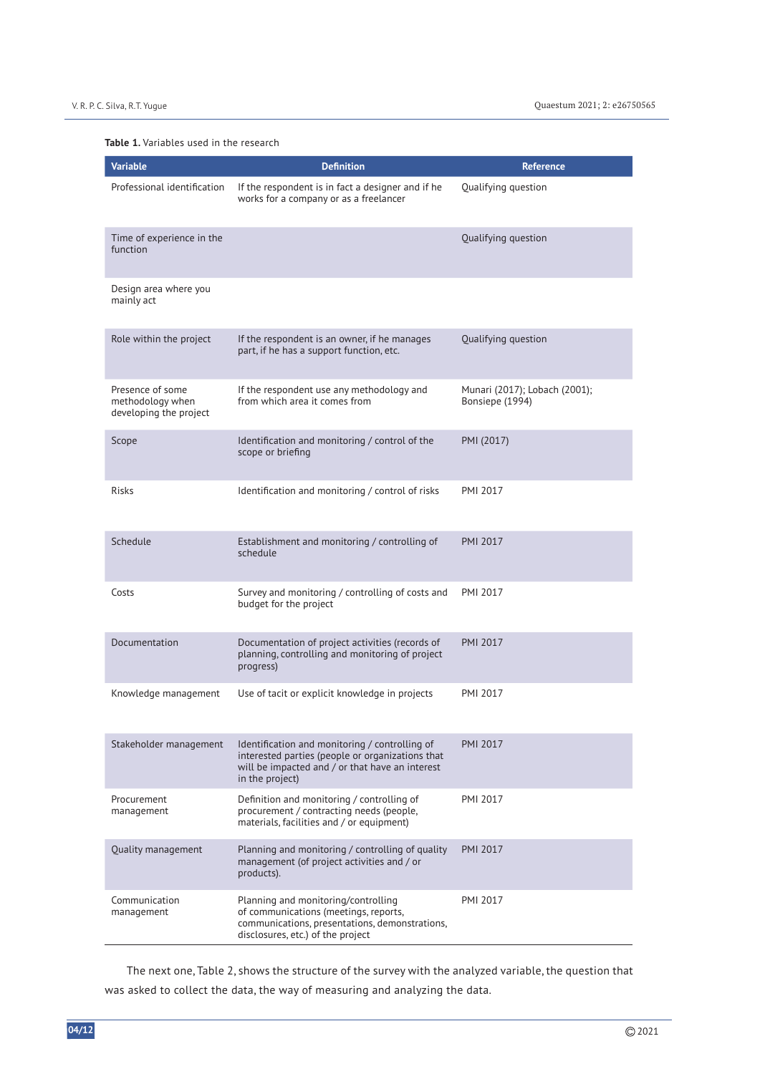#### **Table 1.** Variables used in the research

| <b>Variable</b>                                                | <b>Definition</b>                                                                                                                                                        | <b>Reference</b>                                 |
|----------------------------------------------------------------|--------------------------------------------------------------------------------------------------------------------------------------------------------------------------|--------------------------------------------------|
| Professional identification                                    | If the respondent is in fact a designer and if he<br>works for a company or as a freelancer                                                                              | Qualifying question                              |
| Time of experience in the<br>function                          |                                                                                                                                                                          | Qualifying question                              |
| Design area where you<br>mainly act                            |                                                                                                                                                                          |                                                  |
| Role within the project                                        | If the respondent is an owner, if he manages<br>part, if he has a support function, etc.                                                                                 | Qualifying question                              |
| Presence of some<br>methodology when<br>developing the project | If the respondent use any methodology and<br>from which area it comes from                                                                                               | Munari (2017); Lobach (2001);<br>Bonsiepe (1994) |
| Scope                                                          | Identification and monitoring / control of the<br>scope or briefing                                                                                                      | PMI (2017)                                       |
| Risks                                                          | Identification and monitoring / control of risks                                                                                                                         | PMI 2017                                         |
| Schedule                                                       | Establishment and monitoring / controlling of<br>schedule                                                                                                                | <b>PMI 2017</b>                                  |
| Costs                                                          | Survey and monitoring / controlling of costs and<br>budget for the project                                                                                               | <b>PMI 2017</b>                                  |
| Documentation                                                  | Documentation of project activities (records of<br>planning, controlling and monitoring of project<br>progress)                                                          | <b>PMI 2017</b>                                  |
| Knowledge management                                           | Use of tacit or explicit knowledge in projects                                                                                                                           | PMI 2017                                         |
| Stakeholder management                                         | Identification and monitoring / controlling of<br>interested parties (people or organizations that<br>will be impacted and / or that have an interest<br>in the project) | <b>PMI 2017</b>                                  |
| Procurement<br>management                                      | Definition and monitoring / controlling of<br>procurement / contracting needs (people,<br>materials, facilities and / or equipment)                                      | <b>PMI 2017</b>                                  |
| <b>Ouality management</b>                                      | Planning and monitoring / controlling of quality<br>management (of project activities and / or<br>products).                                                             | <b>PMI 2017</b>                                  |
| Communication<br>management                                    | Planning and monitoring/controlling<br>of communications (meetings, reports,<br>communications, presentations, demonstrations,<br>disclosures, etc.) of the project      | PMI 2017                                         |

The next one, Table 2, shows the structure of the survey with the analyzed variable, the question that was asked to collect the data, the way of measuring and analyzing the data.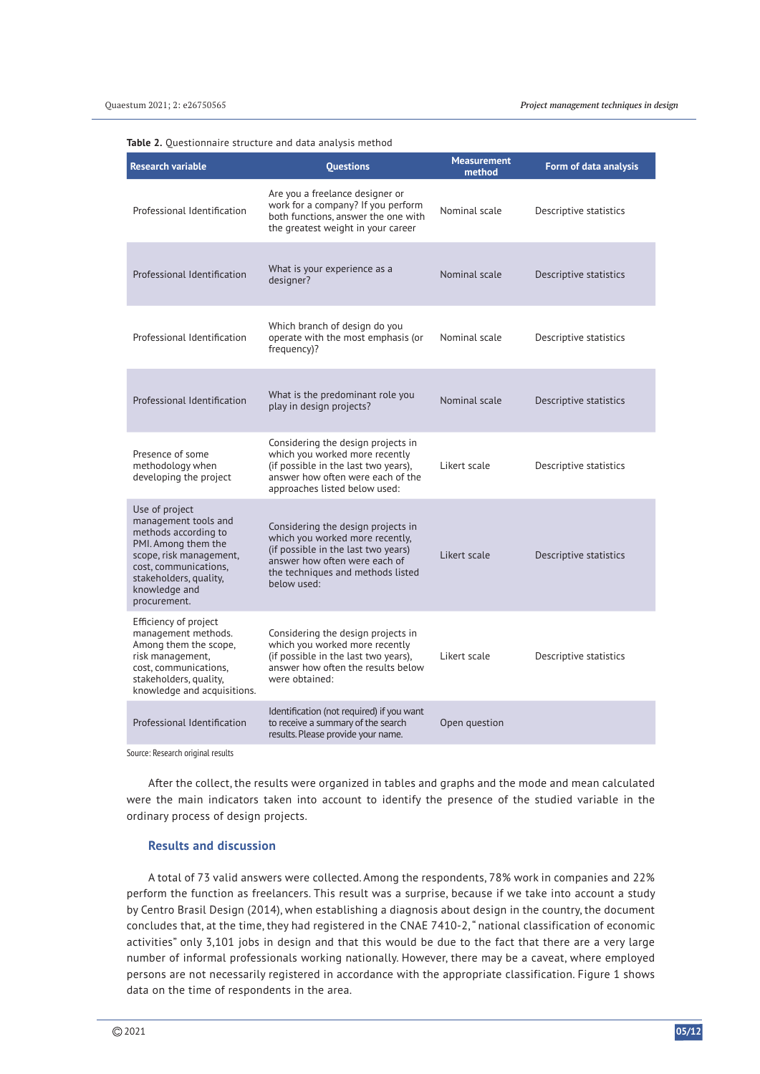**Table 2.** Questionnaire structure and data analysis method

| <b>Research variable</b>                                                                                                                                                                             | <b>Ouestions</b>                                                                                                                                                                                  | <b>Measurement</b><br>method | Form of data analysis  |
|------------------------------------------------------------------------------------------------------------------------------------------------------------------------------------------------------|---------------------------------------------------------------------------------------------------------------------------------------------------------------------------------------------------|------------------------------|------------------------|
| Professional Identification                                                                                                                                                                          | Are you a freelance designer or<br>work for a company? If you perform<br>both functions, answer the one with<br>the greatest weight in your career                                                | Nominal scale                | Descriptive statistics |
| Professional Identification                                                                                                                                                                          | What is your experience as a<br>designer?                                                                                                                                                         | Nominal scale                | Descriptive statistics |
| Professional Identification                                                                                                                                                                          | Which branch of design do you<br>operate with the most emphasis (or<br>frequency)?                                                                                                                | Nominal scale                | Descriptive statistics |
| Professional Identification                                                                                                                                                                          | What is the predominant role you<br>play in design projects?                                                                                                                                      | Nominal scale                | Descriptive statistics |
| Presence of some<br>methodology when<br>developing the project                                                                                                                                       | Considering the design projects in<br>which you worked more recently<br>(if possible in the last two years),<br>answer how often were each of the<br>approaches listed below used:                | Likert scale                 | Descriptive statistics |
| Use of project<br>management tools and<br>methods according to<br>PMI. Among them the<br>scope, risk management,<br>cost, communications,<br>stakeholders, quality,<br>knowledge and<br>procurement. | Considering the design projects in<br>which you worked more recently,<br>(if possible in the last two years)<br>answer how often were each of<br>the techniques and methods listed<br>below used: | Likert scale                 | Descriptive statistics |
| Efficiency of project<br>management methods.<br>Among them the scope,<br>risk management,<br>cost, communications,<br>stakeholders, quality,<br>knowledge and acquisitions.                          | Considering the design projects in<br>which you worked more recently<br>(if possible in the last two years),<br>answer how often the results below<br>were obtained:                              | Likert scale                 | Descriptive statistics |
| Professional Identification                                                                                                                                                                          | Identification (not required) if you want<br>to receive a summary of the search<br>results. Please provide your name.                                                                             | Open question                |                        |

Source: Research original results

After the collect, the results were organized in tables and graphs and the mode and mean calculated were the main indicators taken into account to identify the presence of the studied variable in the ordinary process of design projects.

### **Results and discussion**

A total of 73 valid answers were collected. Among the respondents, 78% work in companies and 22% perform the function as freelancers. This result was a surprise, because if we take into account a study by Centro Brasil Design (2014), when establishing a diagnosis about design in the country, the document concludes that, at the time, they had registered in the CNAE 7410-2, " national classification of economic activities" only 3,101 jobs in design and that this would be due to the fact that there are a very large number of informal professionals working nationally. However, there may be a caveat, where employed persons are not necessarily registered in accordance with the appropriate classification. Figure 1 shows data on the time of respondents in the area.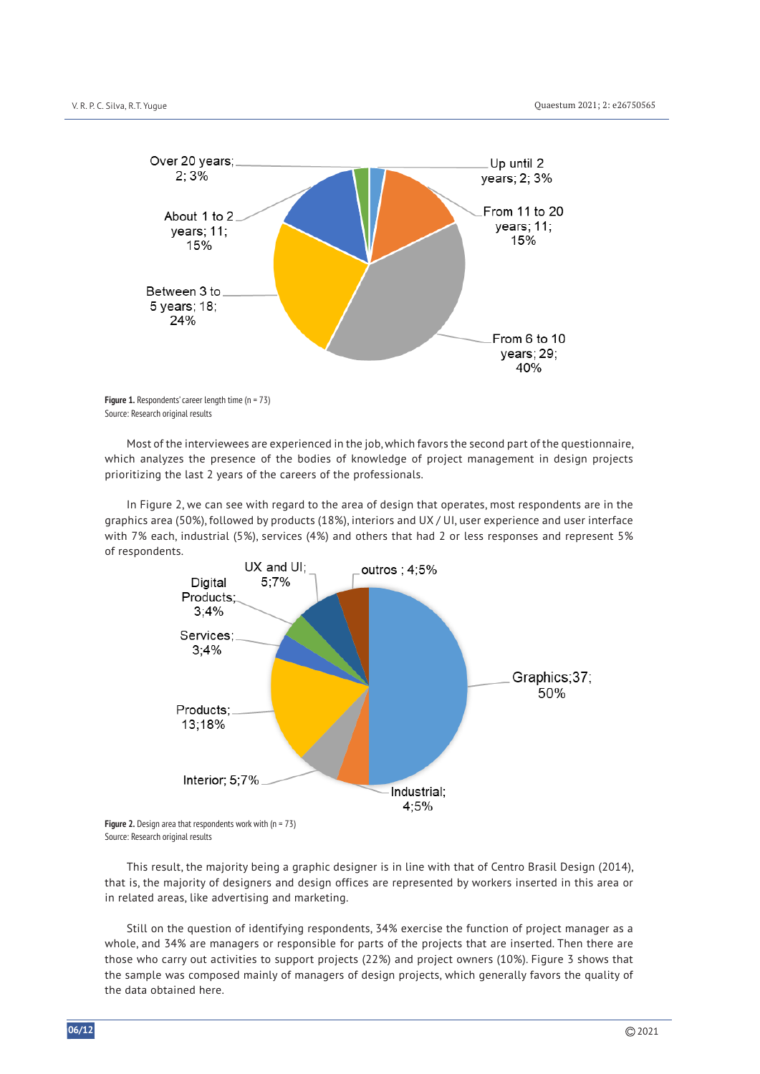

**Figure 1.** Respondents' career length time (n = 73) Source: Research original results

Most of the interviewees are experienced in the job, which favors the second part of the questionnaire, which analyzes the presence of the bodies of knowledge of project management in design projects prioritizing the last 2 years of the careers of the professionals.

In Figure 2, we can see with regard to the area of design that operates, most respondents are in the graphics area (50%), followed by products (18%), interiors and UX / UI, user experience and user interface with 7% each, industrial (5%), services (4%) and others that had 2 or less responses and represent 5% of respondents.



Source: Research original results

This result, the majority being a graphic designer is in line with that of Centro Brasil Design (2014), that is, the majority of designers and design offices are represented by workers inserted in this area or in related areas, like advertising and marketing.

Still on the question of identifying respondents, 34% exercise the function of project manager as a whole, and 34% are managers or responsible for parts of the projects that are inserted. Then there are those who carry out activities to support projects (22%) and project owners (10%). Figure 3 shows that the sample was composed mainly of managers of design projects, which generally favors the quality of the data obtained here.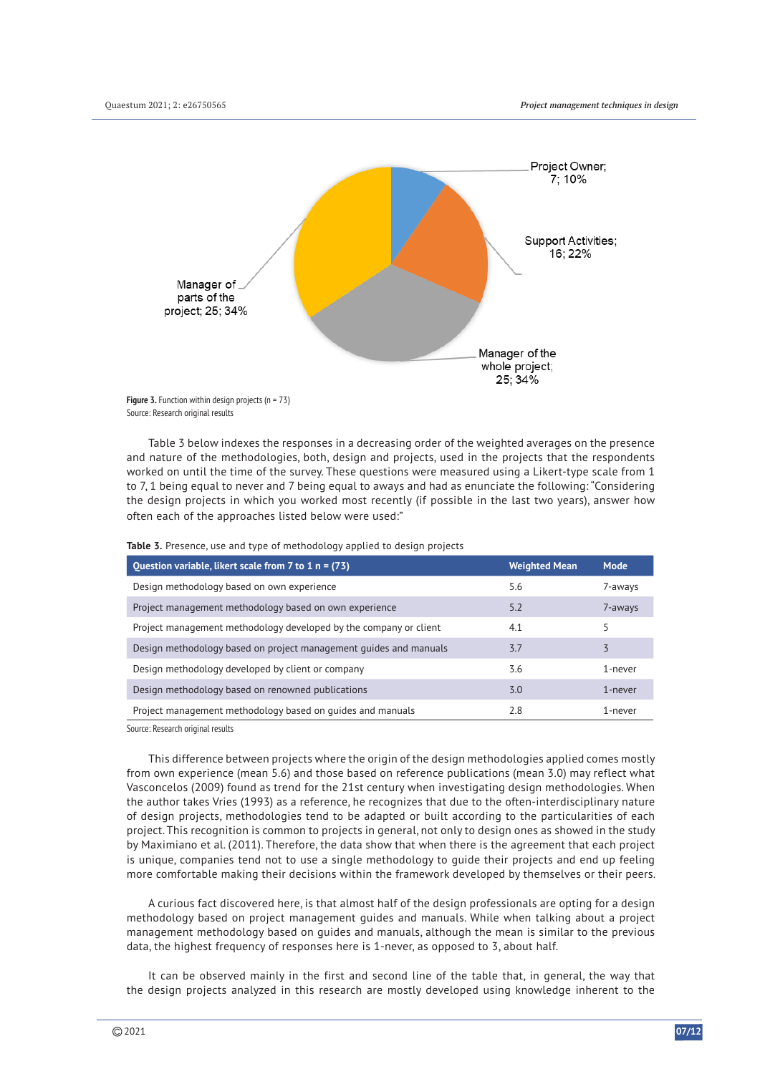

**Figure 3.** Function within design projects (n = 73) Source: Research original results

Table 3 below indexes the responses in a decreasing order of the weighted averages on the presence and nature of the methodologies, both, design and projects, used in the projects that the respondents worked on until the time of the survey. These questions were measured using a Likert-type scale from 1 to 7, 1 being equal to never and 7 being equal to aways and had as enunciate the following: "Considering the design projects in which you worked most recently (if possible in the last two years), answer how often each of the approaches listed below were used:"

| Question variable, likert scale from $7$ to $1$ n = (73)          | <b>Weighted Mean</b> | Mode    |
|-------------------------------------------------------------------|----------------------|---------|
| Design methodology based on own experience                        | 5.6                  | 7-aways |
| Project management methodology based on own experience            | 5.2                  | 7-aways |
| Project management methodology developed by the company or client | 4.1                  | 5       |
| Design methodology based on project management guides and manuals | 3.7                  | 3       |
| Design methodology developed by client or company                 | 3.6                  | 1-never |
| Design methodology based on renowned publications                 | 3.0                  | 1-never |
| Project management methodology based on guides and manuals        | 2.8                  | 1-never |

**Table 3.** Presence, use and type of methodology applied to design projects

Source: Research original results

This difference between projects where the origin of the design methodologies applied comes mostly from own experience (mean 5.6) and those based on reference publications (mean 3.0) may reflect what Vasconcelos (2009) found as trend for the 21st century when investigating design methodologies. When the author takes Vries (1993) as a reference, he recognizes that due to the often-interdisciplinary nature of design projects, methodologies tend to be adapted or built according to the particularities of each project. This recognition is common to projects in general, not only to design ones as showed in the study by Maximiano et al. (2011). Therefore, the data show that when there is the agreement that each project is unique, companies tend not to use a single methodology to guide their projects and end up feeling more comfortable making their decisions within the framework developed by themselves or their peers.

A curious fact discovered here, is that almost half of the design professionals are opting for a design methodology based on project management guides and manuals. While when talking about a project management methodology based on guides and manuals, although the mean is similar to the previous data, the highest frequency of responses here is 1-never, as opposed to 3, about half.

It can be observed mainly in the first and second line of the table that, in general, the way that the design projects analyzed in this research are mostly developed using knowledge inherent to the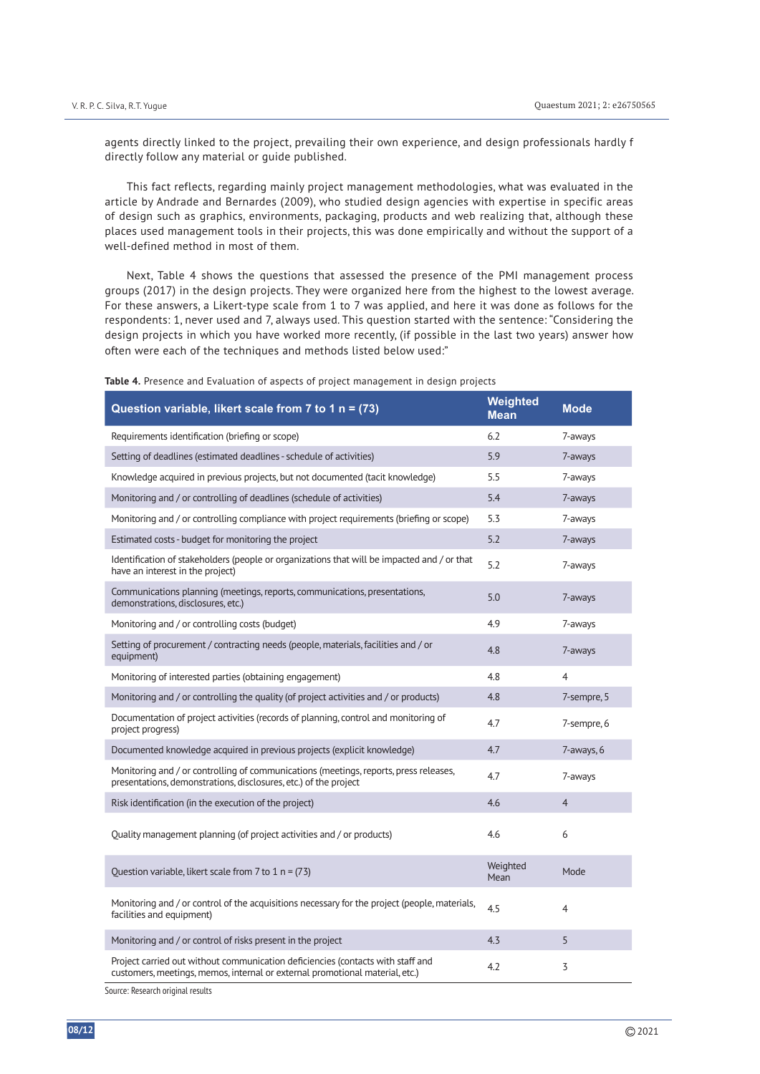agents directly linked to the project, prevailing their own experience, and design professionals hardly f directly follow any material or guide published.

This fact reflects, regarding mainly project management methodologies, what was evaluated in the article by Andrade and Bernardes (2009), who studied design agencies with expertise in specific areas of design such as graphics, environments, packaging, products and web realizing that, although these places used management tools in their projects, this was done empirically and without the support of a well-defined method in most of them.

Next, Table 4 shows the questions that assessed the presence of the PMI management process groups (2017) in the design projects. They were organized here from the highest to the lowest average. For these answers, a Likert-type scale from 1 to 7 was applied, and here it was done as follows for the respondents: 1, never used and 7, always used. This question started with the sentence: "Considering the design projects in which you have worked more recently, (if possible in the last two years) answer how often were each of the techniques and methods listed below used:"

| Question variable, likert scale from 7 to 1 n = (73)                                                                                                            | Weighted<br><b>Mean</b> | <b>Mode</b>    |
|-----------------------------------------------------------------------------------------------------------------------------------------------------------------|-------------------------|----------------|
| Requirements identification (briefing or scope)                                                                                                                 | 6.2                     | 7-aways        |
| Setting of deadlines (estimated deadlines - schedule of activities)                                                                                             | 5.9                     | 7-aways        |
| Knowledge acquired in previous projects, but not documented (tacit knowledge)                                                                                   | 5.5                     | 7-aways        |
| Monitoring and / or controlling of deadlines (schedule of activities)                                                                                           | 5.4                     | 7-aways        |
| Monitoring and / or controlling compliance with project requirements (briefing or scope)                                                                        | 5.3                     | 7-aways        |
| Estimated costs - budget for monitoring the project                                                                                                             | 5.2                     | 7-aways        |
| Identification of stakeholders (people or organizations that will be impacted and / or that<br>have an interest in the project)                                 | 5.2                     | 7-aways        |
| Communications planning (meetings, reports, communications, presentations,<br>demonstrations, disclosures, etc.)                                                | 5.0                     | 7-aways        |
| Monitoring and / or controlling costs (budget)                                                                                                                  | 4.9                     | 7-aways        |
| Setting of procurement / contracting needs (people, materials, facilities and / or<br>equipment)                                                                | 4.8                     | 7-aways        |
| Monitoring of interested parties (obtaining engagement)                                                                                                         | 4.8                     | $\overline{4}$ |
| Monitoring and / or controlling the quality (of project activities and / or products)                                                                           | 4.8                     | 7-sempre, 5    |
| Documentation of project activities (records of planning, control and monitoring of<br>project progress)                                                        | 4.7                     | 7-sempre, 6    |
| Documented knowledge acquired in previous projects (explicit knowledge)                                                                                         | 4.7                     | 7-aways, 6     |
| Monitoring and / or controlling of communications (meetings, reports, press releases,<br>presentations, demonstrations, disclosures, etc.) of the project       | 4.7                     | 7-aways        |
| Risk identification (in the execution of the project)                                                                                                           | 4.6                     | $\overline{4}$ |
| Quality management planning (of project activities and / or products)                                                                                           | 4.6                     | 6              |
| Question variable, likert scale from 7 to 1 $n = (73)$                                                                                                          | Weighted<br>Mean        | Mode           |
| Monitoring and / or control of the acquisitions necessary for the project (people, materials,<br>facilities and equipment)                                      | 4.5                     | $\overline{4}$ |
| Monitoring and / or control of risks present in the project                                                                                                     | 4.3                     | 5              |
| Project carried out without communication deficiencies (contacts with staff and<br>customers, meetings, memos, internal or external promotional material, etc.) | 4.2                     | 3              |

**Table 4.** Presence and Evaluation of aspects of project management in design projects

Source: Research original results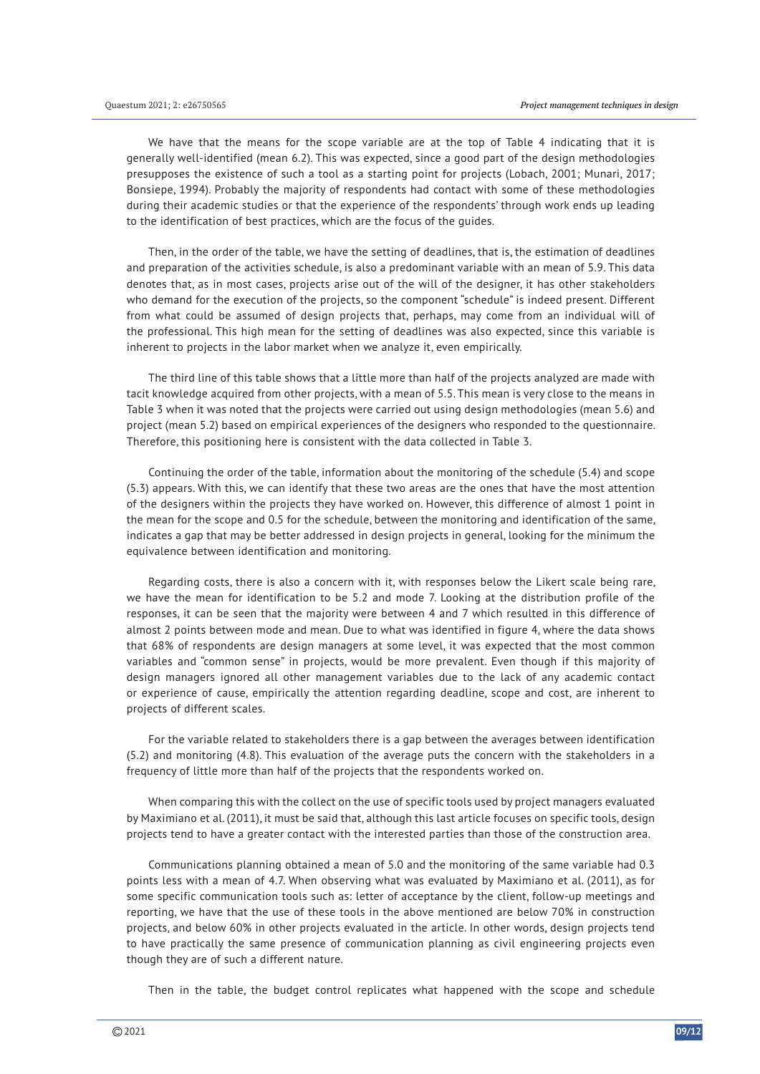We have that the means for the scope variable are at the top of Table 4 indicating that it is generally well-identified (mean 6.2). This was expected, since a good part of the design methodologies presupposes the existence of such a tool as a starting point for projects (Lobach, 2001; Munari, 2017; Bonsiepe, 1994). Probably the majority of respondents had contact with some of these methodologies during their academic studies or that the experience of the respondents' through work ends up leading to the identification of best practices, which are the focus of the guides.

Then, in the order of the table, we have the setting of deadlines, that is, the estimation of deadlines and preparation of the activities schedule, is also a predominant variable with an mean of 5.9. This data denotes that, as in most cases, projects arise out of the will of the designer, it has other stakeholders who demand for the execution of the projects, so the component "schedule" is indeed present. Different from what could be assumed of design projects that, perhaps, may come from an individual will of the professional. This high mean for the setting of deadlines was also expected, since this variable is inherent to projects in the labor market when we analyze it, even empirically.

The third line of this table shows that a little more than half of the projects analyzed are made with tacit knowledge acquired from other projects, with a mean of 5.5. This mean is very close to the means in Table 3 when it was noted that the projects were carried out using design methodologies (mean 5.6) and project (mean 5.2) based on empirical experiences of the designers who responded to the questionnaire. Therefore, this positioning here is consistent with the data collected in Table 3.

Continuing the order of the table, information about the monitoring of the schedule (5.4) and scope (5.3) appears. With this, we can identify that these two areas are the ones that have the most attention of the designers within the projects they have worked on. However, this difference of almost 1 point in the mean for the scope and 0.5 for the schedule, between the monitoring and identification of the same, indicates a gap that may be better addressed in design projects in general, looking for the minimum the equivalence between identification and monitoring.

Regarding costs, there is also a concern with it, with responses below the Likert scale being rare, we have the mean for identification to be 5.2 and mode 7. Looking at the distribution profile of the responses, it can be seen that the majority were between 4 and 7 which resulted in this difference of almost 2 points between mode and mean. Due to what was identified in figure 4, where the data shows that 68% of respondents are design managers at some level, it was expected that the most common variables and "common sense" in projects, would be more prevalent. Even though if this majority of design managers ignored all other management variables due to the lack of any academic contact or experience of cause, empirically the attention regarding deadline, scope and cost, are inherent to projects of different scales.

For the variable related to stakeholders there is a gap between the averages between identification (5.2) and monitoring (4.8). This evaluation of the average puts the concern with the stakeholders in a frequency of little more than half of the projects that the respondents worked on.

When comparing this with the collect on the use of specific tools used by project managers evaluated by Maximiano et al. (2011), it must be said that, although this last article focuses on specific tools, design projects tend to have a greater contact with the interested parties than those of the construction area.

Communications planning obtained a mean of 5.0 and the monitoring of the same variable had 0.3 points less with a mean of 4.7. When observing what was evaluated by Maximiano et al. (2011), as for some specific communication tools such as: letter of acceptance by the client, follow-up meetings and reporting, we have that the use of these tools in the above mentioned are below 70% in construction projects, and below 60% in other projects evaluated in the article. In other words, design projects tend to have practically the same presence of communication planning as civil engineering projects even though they are of such a different nature.

Then in the table, the budget control replicates what happened with the scope and schedule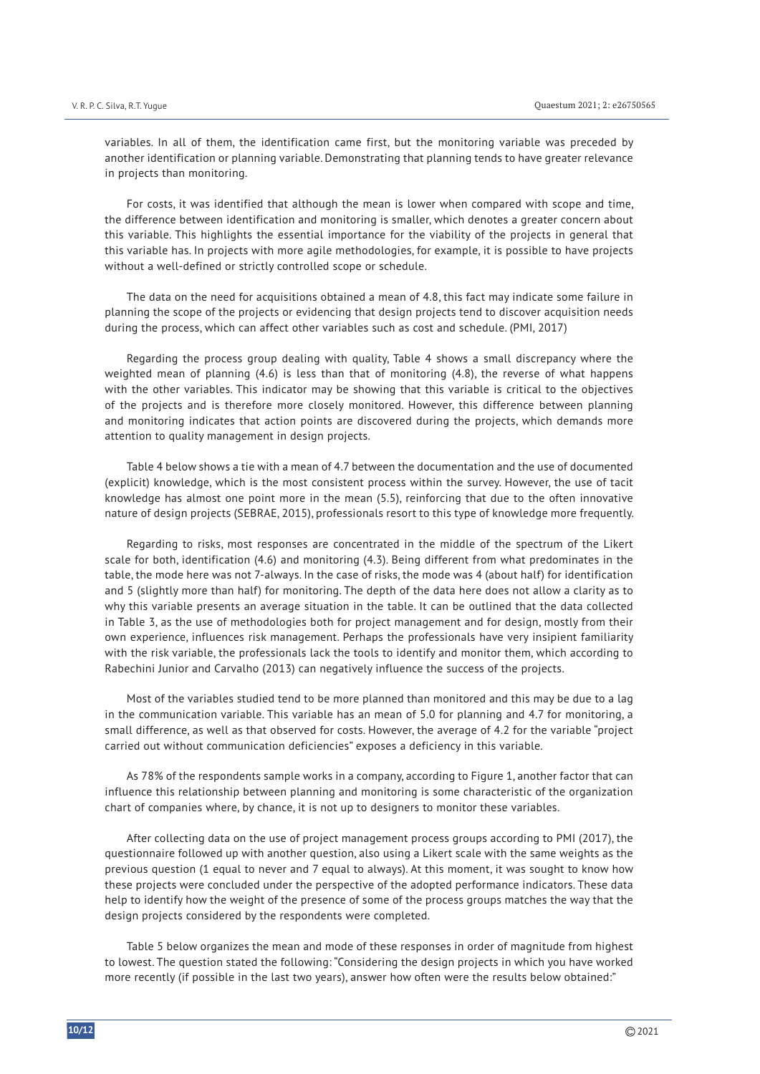variables. In all of them, the identification came first, but the monitoring variable was preceded by another identification or planning variable. Demonstrating that planning tends to have greater relevance in projects than monitoring.

For costs, it was identified that although the mean is lower when compared with scope and time, the difference between identification and monitoring is smaller, which denotes a greater concern about this variable. This highlights the essential importance for the viability of the projects in general that this variable has. In projects with more agile methodologies, for example, it is possible to have projects without a well-defined or strictly controlled scope or schedule.

The data on the need for acquisitions obtained a mean of 4.8, this fact may indicate some failure in planning the scope of the projects or evidencing that design projects tend to discover acquisition needs during the process, which can affect other variables such as cost and schedule. (PMI, 2017)

Regarding the process group dealing with quality, Table 4 shows a small discrepancy where the weighted mean of planning (4.6) is less than that of monitoring (4.8), the reverse of what happens with the other variables. This indicator may be showing that this variable is critical to the objectives of the projects and is therefore more closely monitored. However, this difference between planning and monitoring indicates that action points are discovered during the projects, which demands more attention to quality management in design projects.

Table 4 below shows a tie with a mean of 4.7 between the documentation and the use of documented (explicit) knowledge, which is the most consistent process within the survey. However, the use of tacit knowledge has almost one point more in the mean (5.5), reinforcing that due to the often innovative nature of design projects (SEBRAE, 2015), professionals resort to this type of knowledge more frequently.

Regarding to risks, most responses are concentrated in the middle of the spectrum of the Likert scale for both, identification (4.6) and monitoring (4.3). Being different from what predominates in the table, the mode here was not 7-always. In the case of risks, the mode was 4 (about half) for identification and 5 (slightly more than half) for monitoring. The depth of the data here does not allow a clarity as to why this variable presents an average situation in the table. It can be outlined that the data collected in Table 3, as the use of methodologies both for project management and for design, mostly from their own experience, influences risk management. Perhaps the professionals have very insipient familiarity with the risk variable, the professionals lack the tools to identify and monitor them, which according to Rabechini Junior and Carvalho (2013) can negatively influence the success of the projects.

Most of the variables studied tend to be more planned than monitored and this may be due to a lag in the communication variable. This variable has an mean of 5.0 for planning and 4.7 for monitoring, a small difference, as well as that observed for costs. However, the average of 4.2 for the variable "project carried out without communication deficiencies" exposes a deficiency in this variable.

As 78% of the respondents sample works in a company, according to Figure 1, another factor that can influence this relationship between planning and monitoring is some characteristic of the organization chart of companies where, by chance, it is not up to designers to monitor these variables.

After collecting data on the use of project management process groups according to PMI (2017), the questionnaire followed up with another question, also using a Likert scale with the same weights as the previous question (1 equal to never and 7 equal to always). At this moment, it was sought to know how these projects were concluded under the perspective of the adopted performance indicators. These data help to identify how the weight of the presence of some of the process groups matches the way that the design projects considered by the respondents were completed.

Table 5 below organizes the mean and mode of these responses in order of magnitude from highest to lowest. The question stated the following: "Considering the design projects in which you have worked more recently (if possible in the last two years), answer how often were the results below obtained:"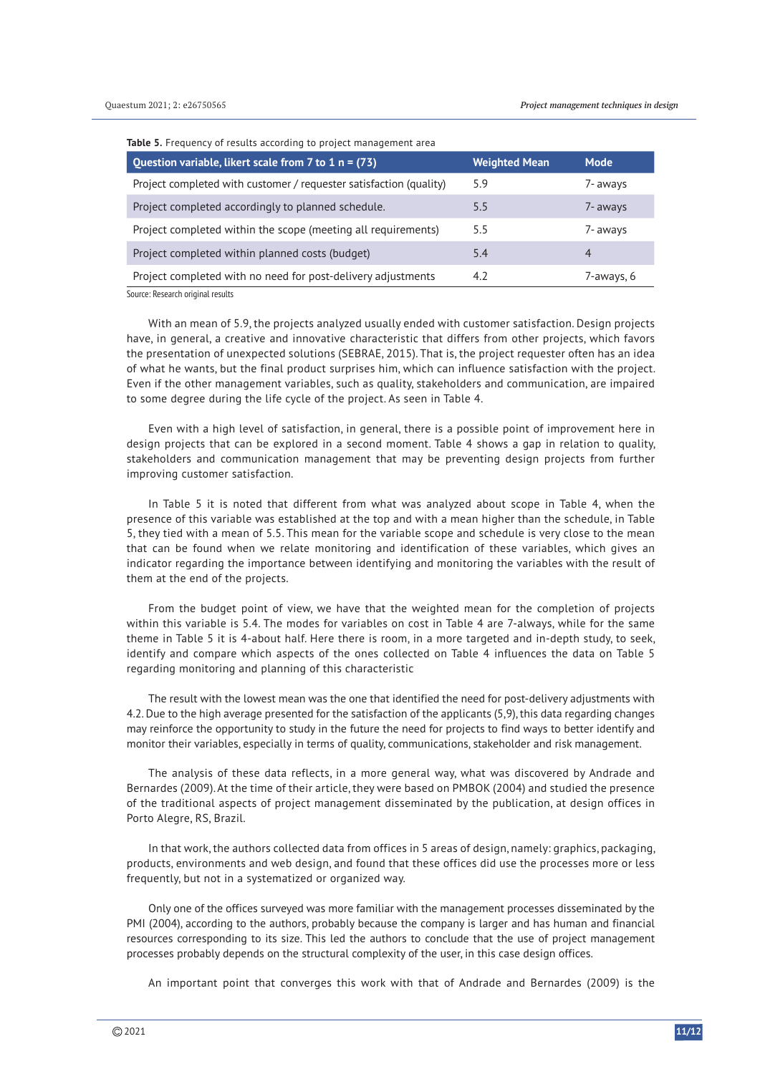**Table 5.** Frequency of results according to project management area

| Question variable, likert scale from 7 to 1 $n = (73)$             | <b>Weighted Mean</b> | <b>Mode</b> |
|--------------------------------------------------------------------|----------------------|-------------|
| Project completed with customer / requester satisfaction (quality) | 5.9                  | 7- aways    |
| Project completed accordingly to planned schedule.                 | 5.5                  | 7- aways    |
| Project completed within the scope (meeting all requirements)      | 5.5                  | 7- aways    |
| Project completed within planned costs (budget)                    | 5.4                  | 4           |
| Project completed with no need for post-delivery adjustments       | 4.2                  | 7-aways, 6  |

Source: Research original results

With an mean of 5.9, the projects analyzed usually ended with customer satisfaction. Design projects have, in general, a creative and innovative characteristic that differs from other projects, which favors the presentation of unexpected solutions (SEBRAE, 2015). That is, the project requester often has an idea of what he wants, but the final product surprises him, which can influence satisfaction with the project. Even if the other management variables, such as quality, stakeholders and communication, are impaired to some degree during the life cycle of the project. As seen in Table 4.

Even with a high level of satisfaction, in general, there is a possible point of improvement here in design projects that can be explored in a second moment. Table 4 shows a gap in relation to quality, stakeholders and communication management that may be preventing design projects from further improving customer satisfaction.

In Table 5 it is noted that different from what was analyzed about scope in Table 4, when the presence of this variable was established at the top and with a mean higher than the schedule, in Table 5, they tied with a mean of 5.5. This mean for the variable scope and schedule is very close to the mean that can be found when we relate monitoring and identification of these variables, which gives an indicator regarding the importance between identifying and monitoring the variables with the result of them at the end of the projects.

From the budget point of view, we have that the weighted mean for the completion of projects within this variable is 5.4. The modes for variables on cost in Table 4 are 7-always, while for the same theme in Table 5 it is 4-about half. Here there is room, in a more targeted and in-depth study, to seek, identify and compare which aspects of the ones collected on Table 4 influences the data on Table 5 regarding monitoring and planning of this characteristic

The result with the lowest mean was the one that identified the need for post-delivery adjustments with 4.2. Due to the high average presented for the satisfaction of the applicants (5,9), this data regarding changes may reinforce the opportunity to study in the future the need for projects to find ways to better identify and monitor their variables, especially in terms of quality, communications, stakeholder and risk management.

The analysis of these data reflects, in a more general way, what was discovered by Andrade and Bernardes (2009). At the time of their article, they were based on PMBOK (2004) and studied the presence of the traditional aspects of project management disseminated by the publication, at design offices in Porto Alegre, RS, Brazil.

In that work, the authors collected data from offices in 5 areas of design, namely: graphics, packaging, products, environments and web design, and found that these offices did use the processes more or less frequently, but not in a systematized or organized way.

Only one of the offices surveyed was more familiar with the management processes disseminated by the PMI (2004), according to the authors, probably because the company is larger and has human and financial resources corresponding to its size. This led the authors to conclude that the use of project management processes probably depends on the structural complexity of the user, in this case design offices.

An important point that converges this work with that of Andrade and Bernardes (2009) is the